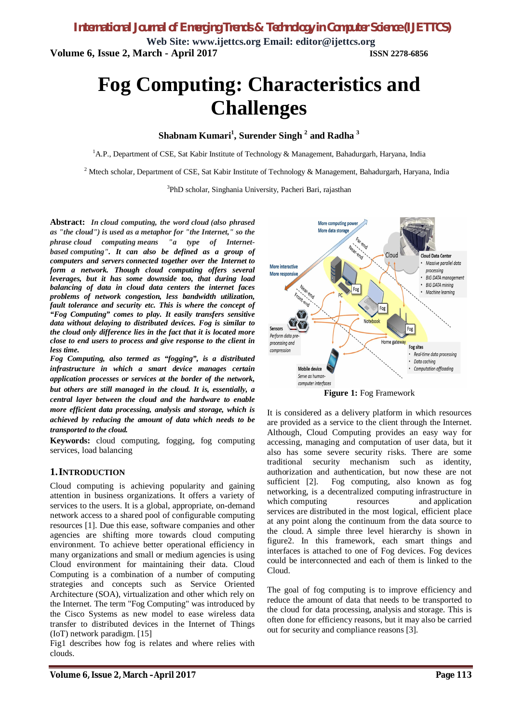**Web Site: www.ijettcs.org Email: editor@ijettcs.org Volume 6, Issue 2, March - April 2017 ISSN 2278-6856**

# **Fog Computing: Characteristics and Challenges**

**Shabnam Kumari<sup>1</sup> , Surender Singh <sup>2</sup> and Radha <sup>3</sup>**

<sup>1</sup>A.P., Department of CSE, Sat Kabir Institute of Technology & Management, Bahadurgarh, Haryana, India

<sup>2</sup> Mtech scholar, Department of CSE, Sat Kabir Institute of Technology & Management, Bahadurgarh, Haryana, India

<sup>3</sup>PhD scholar, Singhania University, Pacheri Bari, rajasthan

**Abstract:** *In cloud computing, the word cloud (also phrased as "the cloud") is used as a metaphor for "the Internet," so the phrase cloud computing means "a type of Internetbased computing". It can also be defined as a group of computers and servers connected together over the Internet to form a network. Though cloud computing offers several leverages, but it has some downside too, that during load balancing of data in cloud data centers the internet faces problems of network congestion, less bandwidth utilization, fault tolerance and security etc. This is where the concept of "Fog Computing" comes to play. It easily transfers sensitive data without delaying to distributed devices. Fog is similar to the cloud only difference lies in the fact that it is located more close to end users to process and give response to the client in less time.*

*Fog Computing, also termed as "fogging", is a distributed infrastructure in which a smart device manages certain application processes or services at the border of the network, but others are still managed in the cloud. It is, essentially, a central layer between the cloud and the hardware to enable more efficient data processing, analysis and storage, which is achieved by reducing the amount of data which needs to be transported to the cloud.*

**Keywords:** cloud computing, fogging, fog computing services, load balancing

#### **1.INTRODUCTION**

Cloud computing is achieving popularity and gaining attention in business organizations. It offers a variety of services to the users. It is a global, appropriate, on-demand network access to a shared pool of configurable computing resources [1]. Due this ease, software companies and other agencies are shifting more towards cloud computing environment. To achieve better operational efficiency in many organizations and small or medium agencies is using Cloud environment for maintaining their data. Cloud Computing is a combination of a number of computing strategies and concepts such as Service Oriented Architecture (SOA), virtualization and other which rely on the Internet. The term "Fog Computing" was introduced by the Cisco Systems as new model to ease wireless data transfer to distributed devices in the Internet of Things (IoT) network paradigm. [15]

Fig1 describes how fog is relates and where relies with clouds.



**Figure 1:** Fog Framework

It is considered as a delivery platform in which resources are provided as a service to the client through the Internet. Although, Cloud Computing provides an easy way for accessing, managing and computation of user data, but it also has some severe security risks. There are some traditional security mechanism such as identity, authorization and authentication, but now these are not sufficient [2]. Fog computing, also known as fog networking, is a decentralized computing infrastructure in which computing resources and application services are distributed in the most logical, efficient place at any point along the continuum from the data source to the cloud. A simple three level hierarchy is shown in figure2. In this framework, each smart things and interfaces is attached to one of Fog devices. Fog devices could be interconnected and each of them is linked to the Cloud.

The goal of fog computing is to improve efficiency and reduce the amount of data that needs to be transported to the cloud for data processing, analysis and storage. This is often done for efficiency reasons, but it may also be carried out for security and compliance reasons [3].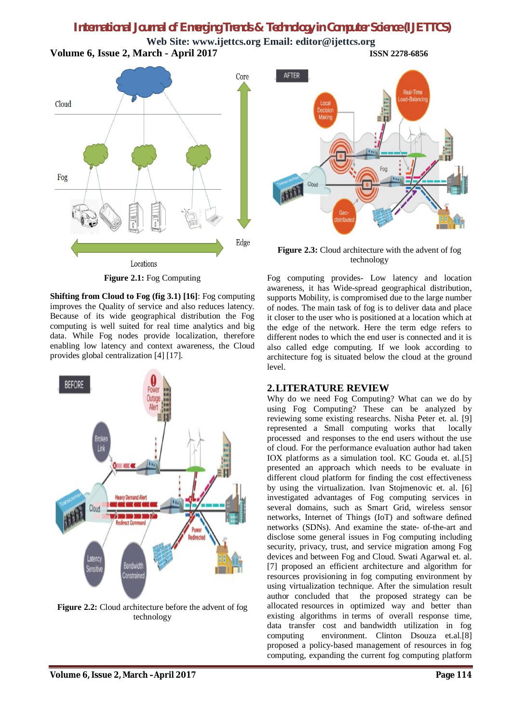**Web Site: www.ijettcs.org Email: editor@ijettcs.org Volume 6, Issue 2, March - April 2017 ISSN 2278-6856**





**Figure 2.3:** Cloud architecture with the advent of fog technology

**Figure 2.1:** Fog Computing

**Shifting from Cloud to Fog (fig 3.1) [16]**: Fog computing improves the Quality of service and also reduces latency. Because of its wide geographical distribution the Fog computing is well suited for real time analytics and big data. While Fog nodes provide localization, therefore enabling low latency and context awareness, the Cloud provides global centralization [4] [17].



**Figure 2.2:** Cloud architecture before the advent of fog technology

Fog computing provides- Low latency and location awareness, it has Wide-spread geographical distribution, supports Mobility, is compromised due to the large number of nodes. The main task of fog is to deliver data and place it closer to the user who is positioned at a location which at the edge of the network. Here the term edge refers to different nodes to which the end user is connected and it is also called edge computing. If we look according to architecture fog is situated below the cloud at the ground level.

#### **2.LITERATURE REVIEW**

Why do we need Fog Computing? What can we do by using Fog Computing? These can be analyzed by reviewing some existing researchs. Nisha Peter et. al. [9] represented a Small computing works that locally processed and responses to the end users without the use of cloud. For the performance evaluation author had taken IOX platforms as a simulation tool. KC Gouda et. al.[5] presented an approach which needs to be evaluate in different cloud platform for finding the cost effectiveness by using the virtualization. Ivan Stojmenovic et. al. [6] investigated advantages of Fog computing services in several domains, such as Smart Grid, wireless sensor networks, Internet of Things (IoT) and software defined networks (SDNs). And examine the state- of-the-art and disclose some general issues in Fog computing including security, privacy, trust, and service migration among Fog devices and between Fog and Cloud. Swati Agarwal et. al. [7] proposed an efficient architecture and algorithm for resources provisioning in fog computing environment by using virtualization technique. After the simulation result author concluded that the proposed strategy can be allocated resources in optimized way and better than existing algorithms in terms of overall response time, data transfer cost and bandwidth utilization in fog computing environment. Clinton Dsouza et.al.[8] proposed a policy-based management of resources in fog computing, expanding the current fog computing platform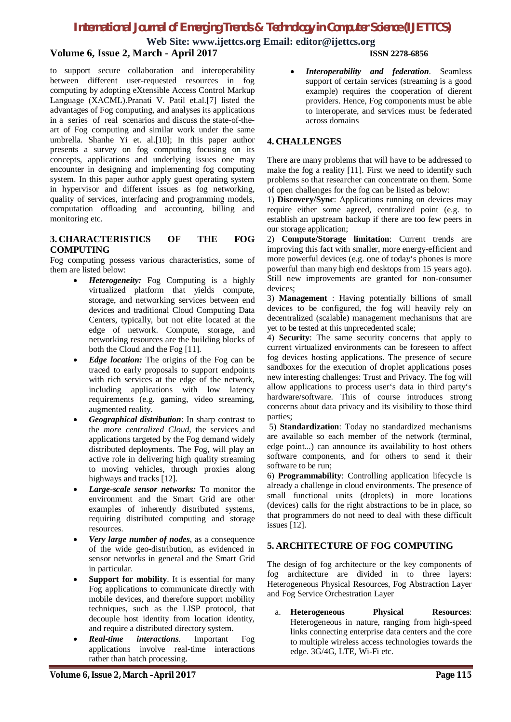**Web Site: www.ijettcs.org Email: editor@ijettcs.org**

### **Volume 6, Issue 2, March - April 2017 ISSN 2278-6856**

to support secure collaboration and interoperability between different user-requested resources in fog computing by adopting eXtensible Access Control Markup Language (XACML).Pranati V. Patil et.al.[7] listed the advantages of Fog computing, and analyses its applications in a series of real scenarios and discuss the state-of-theart of Fog computing and similar work under the same umbrella. Shanhe Yi et. al.[10]; In this paper author presents a survey on fog computing focusing on its concepts, applications and underlying issues one may encounter in designing and implementing fog computing system. In this paper author apply guest operating system in hypervisor and different issues as fog networking, quality of services, interfacing and programming models, computation offloading and accounting, billing and monitoring etc.

#### **3. CHARACTERISTICS OF THE FOG COMPUTING**

Fog computing possess various characteristics, some of them are listed below:

- *Heterogeneity:* Fog Computing is a highly virtualized platform that yields compute, storage, and networking services between end devices and traditional Cloud Computing Data Centers, typically, but not elite located at the edge of network. Compute, storage, and networking resources are the building blocks of both the Cloud and the Fog [11].
- *Edge location:* The origins of the Fog can be traced to early proposals to support endpoints with rich services at the edge of the network, including applications with low latency requirements (e.g. gaming, video streaming, augmented reality.
- *Geographical distribution*: In sharp contrast to the *more centralized Cloud*, the services and applications targeted by the Fog demand widely distributed deployments. The Fog, will play an active role in delivering high quality streaming to moving vehicles, through proxies along highways and tracks [12].
- *Large-scale sensor networks:* To monitor the environment and the Smart Grid are other examples of inherently distributed systems, requiring distributed computing and storage resources.
- *Very large number of nodes*, as a consequence of the wide geo-distribution, as evidenced in sensor networks in general and the Smart Grid in particular.
- **Support for mobility.** It is essential for many Fog applications to communicate directly with mobile devices, and therefore support mobility techniques, such as the LISP protocol, that decouple host identity from location identity, and require a distributed directory system.
- *Real-time interactions*. Important Fog applications involve real-time interactions rather than batch processing.

 *Interoperability and federation*. Seamless support of certain services (streaming is a good example) requires the cooperation of dierent providers. Hence, Fog components must be able to interoperate, and services must be federated across domains

#### **4. CHALLENGES**

There are many problems that will have to be addressed to make the fog a reality [11]. First we need to identify such problems so that researcher can concentrate on them. Some of open challenges for the fog can be listed as below:

1) **Discovery/Sync**: Applications running on devices may require either some agreed, centralized point (e.g. to establish an upstream backup if there are too few peers in our storage application;

2) **Compute/Storage limitation**: Current trends are improving this fact with smaller, more energy-efficient and more powerful devices (e.g. one of today's phones is more powerful than many high end desktops from 15 years ago). Still new improvements are granted for non-consumer devices;

3) **Management** : Having potentially billions of small devices to be configured, the fog will heavily rely on decentralized (scalable) management mechanisms that are yet to be tested at this unprecedented scale;

4) **Security**: The same security concerns that apply to current virtualized environments can be foreseen to affect fog devices hosting applications. The presence of secure sandboxes for the execution of droplet applications poses new interesting challenges: Trust and Privacy. The fog will allow applications to process user's data in third party's hardware/software. This of course introduces strong concerns about data privacy and its visibility to those third parties;

5) **Standardization**: Today no standardized mechanisms are available so each member of the network (terminal, edge point...) can announce its availability to host others software components, and for others to send it their software to be run;

6) **Programmability**: Controlling application lifecycle is already a challenge in cloud environments. The presence of small functional units (droplets) in more locations (devices) calls for the right abstractions to be in place, so that programmers do not need to deal with these difficult issues [12].

#### **5. ARCHITECTURE OF FOG COMPUTING**

The design of fog architecture or the key components of fog architecture are divided in to three layers: Heterogeneous Physical Resources, Fog Abstraction Layer and Fog Service Orchestration Layer

a. **Heterogeneous Physical Resources**: Heterogeneous in nature, ranging from high-speed links connecting enterprise data centers and the core to multiple wireless access technologies towards the edge. 3G/4G, LTE, Wi-Fi etc.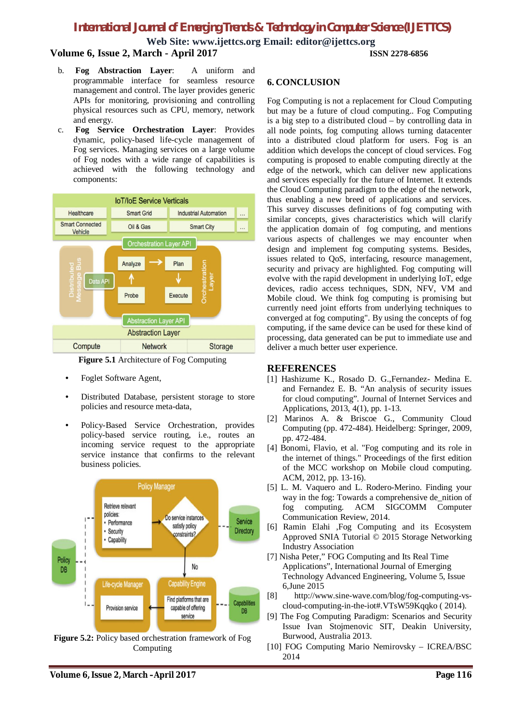**Web Site: www.ijettcs.org Email: editor@ijettcs.org Volume 6, Issue 2, March - April 2017 ISSN 2278-6856**

- b. **Fog Abstraction Layer**: A uniform and programmable interface for seamless resource management and control. The layer provides generic APIs for monitoring, provisioning and controlling physical resources such as CPU, memory, network and energy.
- c. **Fog Service Orchestration Layer**: Provides dynamic, policy-based life-cycle management of Fog services. Managing services on a large volume of Fog nodes with a wide range of capabilities is achieved with the following technology and components:



**Figure 5.1** Architecture of Fog Computing

- Foglet Software Agent,
- Distributed Database, persistent storage to store policies and resource meta-data,
- Policy-Based Service Orchestration, provides policy-based service routing, i.e., routes an incoming service request to the appropriate service instance that confirms to the relevant business policies.



**Figure 5.2:** Policy based orchestration framework of Fog Computing

#### **6. CONCLUSION**

Fog Computing is not a replacement for Cloud Computing but may be a future of cloud computing.. Fog Computing is a big step to a distributed cloud – by controlling data in all node points, fog computing allows turning datacenter into a distributed cloud platform for users. Fog is an addition which develops the concept of cloud services. Fog computing is proposed to enable computing directly at the edge of the network, which can deliver new applications and services especially for the future of Internet. It extends the Cloud Computing paradigm to the edge of the network, thus enabling a new breed of applications and services. This survey discusses definitions of fog computing with similar concepts, gives characteristics which will clarify the application domain of fog computing, and mentions various aspects of challenges we may encounter when design and implement fog computing systems. Besides, issues related to QoS, interfacing, resource management, security and privacy are highlighted. Fog computing will evolve with the rapid development in underlying IoT, edge devices, radio access techniques, SDN, NFV, VM and Mobile cloud. We think fog computing is promising but currently need joint efforts from underlying techniques to converged at fog computing". By using the concepts of fog computing, if the same device can be used for these kind of processing, data generated can be put to immediate use and deliver a much better user experience.

#### **REFERENCES**

- [1] Hashizume K., Rosado D. G.,Fernandez- Medina E. and Fernandez E. B. "An analysis of security issues for cloud computing". Journal of Internet Services and Applications, 2013, 4(1), pp. 1-13.
- [2] Marinos A. & Briscoe G., Community Cloud Computing (pp. 472-484). Heidelberg: Springer, 2009, pp. 472-484.
- [4] Bonomi, Flavio, et al. "Fog computing and its role in the internet of things." Proceedings of the first edition of the MCC workshop on Mobile cloud computing. ACM, 2012, pp. 13-16).
- [5] L. M. Vaquero and L. Rodero-Merino. Finding your way in the fog: Towards a comprehensive de\_nition of fog computing. ACM SIGCOMM Computer Communication Review, 2014.
- [6] Ramin Elahi ,Fog Computing and its Ecosystem Approved SNIA Tutorial © 2015 Storage Networking Industry Association
- [7] Nisha Peter," FOG Computing and Its Real Time Applications", International Journal of Emerging Technology Advanced Engineering, Volume 5, Issue 6,June 2015
- [8] http://www.sine-wave.com/blog/fog-computing-vscloud-computing-in-the-iot#.VTsW59Kqqko ( 2014).
- [9] The Fog Computing Paradigm: Scenarios and Security Issue Ivan Stojmenovic SIT, Deakin University, Burwood, Australia 2013.
- [10] FOG Computing Mario Nemirovsky ICREA/BSC 2014

**Volume 6, Issue 2, March –April 2017 Page 116**